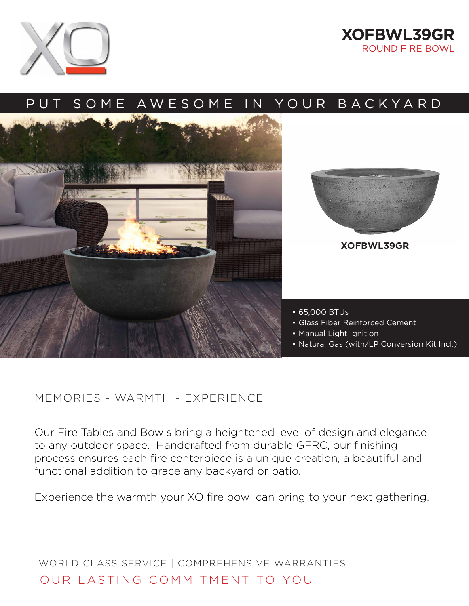



## PUT SOME AWESOME IN YOUR BACKYARD





**XOFBWL39GR**

- 65,000 BTUs
- Glass Fiber Reinforced Cement
- Manual Light Ignition
- Natural Gas (with/LP Conversion Kit Incl.)

## MEMORIES - WARMTH - EXPERIENCE

Our Fire Tables and Bowls bring a heightened level of design and elegance to any outdoor space. Handcrafted from durable GFRC, our finishing process ensures each fire centerpiece is a unique creation, a beautiful and functional addition to grace any backyard or patio.

Experience the warmth your XO fire bowl can bring to your next gathering.

WORLD CLASS SERVICE | COMPREHENSIVE WARRANTIES OUR LASTING COMMITMENT TO YOU